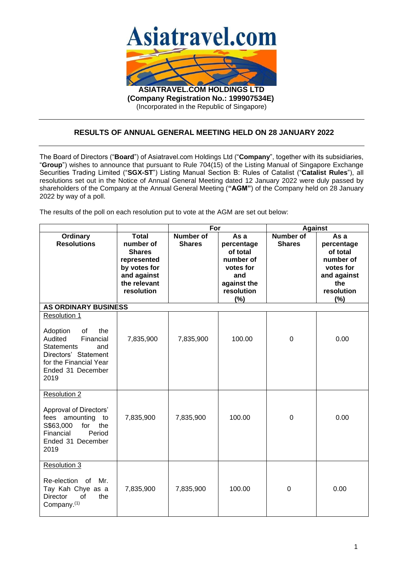

(Incorporated in the Republic of Singapore)

## **RESULTS OF ANNUAL GENERAL MEETING HELD ON 28 JANUARY 2022**

The Board of Directors ("**Board**") of Asiatravel.com Holdings Ltd ("**Company**", together with its subsidiaries, "**Group**") wishes to announce that pursuant to Rule 704(15) of the Listing Manual of Singapore Exchange Securities Trading Limited ("**SGX-ST**") Listing Manual Section B: Rules of Catalist ("**Catalist Rules**"), all resolutions set out in the Notice of Annual General Meeting dated 12 January 2022 were duly passed by shareholders of the Company at the Annual General Meeting (**"AGM"**) of the Company held on 28 January 2022 by way of a poll.

The results of the poll on each resolution put to vote at the AGM are set out below:

|                                                                                                                                                                          |                                                                                                                        | For                               |                                                                                                     | Against                    |                                                                                                     |  |  |  |
|--------------------------------------------------------------------------------------------------------------------------------------------------------------------------|------------------------------------------------------------------------------------------------------------------------|-----------------------------------|-----------------------------------------------------------------------------------------------------|----------------------------|-----------------------------------------------------------------------------------------------------|--|--|--|
| <b>Ordinary</b><br><b>Resolutions</b>                                                                                                                                    | <b>Total</b><br>number of<br><b>Shares</b><br>represented<br>by votes for<br>and against<br>the relevant<br>resolution | <b>Number of</b><br><b>Shares</b> | As a<br>percentage<br>of total<br>number of<br>votes for<br>and<br>against the<br>resolution<br>(%) | Number of<br><b>Shares</b> | As a<br>percentage<br>of total<br>number of<br>votes for<br>and against<br>the<br>resolution<br>(%) |  |  |  |
| <b>AS ORDINARY BUSINESS</b>                                                                                                                                              |                                                                                                                        |                                   |                                                                                                     |                            |                                                                                                     |  |  |  |
| Resolution 1<br>Adoption<br>the<br>0f<br>Financial<br>Audited<br><b>Statements</b><br>and<br>Directors' Statement<br>for the Financial Year<br>Ended 31 December<br>2019 | 7,835,900                                                                                                              | 7,835,900                         | 100.00                                                                                              | $\mathbf 0$                | 0.00                                                                                                |  |  |  |
| Resolution 2<br>Approval of Directors'<br>amounting<br>fees<br>to<br>S\$63,000<br>the<br>for<br>Financial<br>Period<br>Ended 31 December<br>2019                         | 7,835,900                                                                                                              | 7,835,900                         | 100.00                                                                                              | $\mathbf 0$                | 0.00                                                                                                |  |  |  |
| Resolution 3<br>Re-election of<br>Mr.<br>Tay Kah Chye as a<br><b>Director</b><br>of<br>the<br>Company. <sup>(1)</sup>                                                    | 7,835,900                                                                                                              | 7,835,900                         | 100.00                                                                                              | 0                          | 0.00                                                                                                |  |  |  |